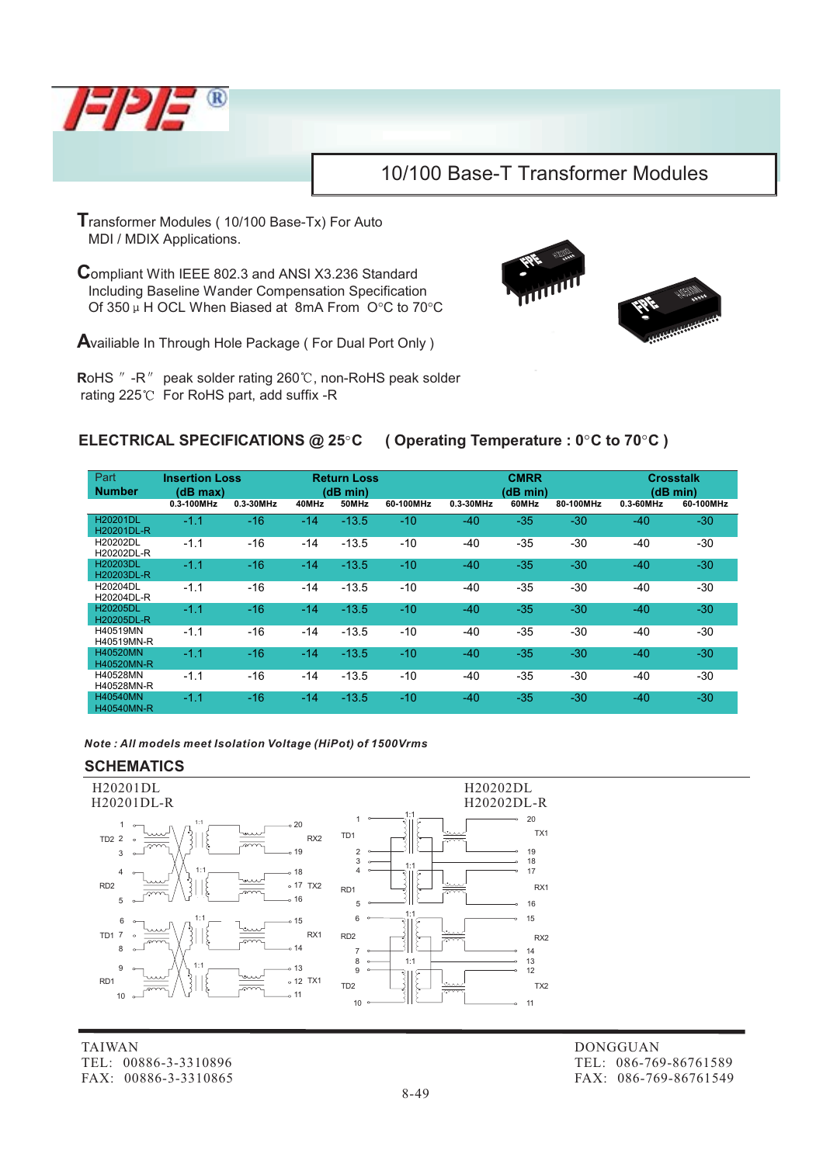

**T**ransformer Modules ( 10/100 Base-Tx) For Auto MDI / MDIX Applications.

**C**ompliant With IEEE 802.3 and ANSI X3.236 Standard Including Baseline Wander Compensation Specification Of 350  $\mu$  H OCL When Biased at 8mA From O°C to 70°C

**A**vailiable In Through Hole Package ( For Dual Port Only )

RoHS " -R" peak solder rating 260°C, non-RoHS peak solder rating 225°C For RoHS part, add suffix -R



## **ELECTRICAL SPECIFICATIONS @ 25C ( Operating Temperature : 0C to 70C )**

| Part<br><b>Number</b>         | <b>Insertion Loss</b><br>(dB max) |           | <b>Return Loss</b><br>(dB min) |         |           | <b>CMRR</b><br>(dB min) |       |           | <b>Crosstalk</b><br>(dB min) |           |
|-------------------------------|-----------------------------------|-----------|--------------------------------|---------|-----------|-------------------------|-------|-----------|------------------------------|-----------|
|                               | 0.3-100MHz                        | 0.3-30MHz | 40MHz                          | 50MHz   | 60-100MHz | 0.3-30MHz               | 60MHz | 80-100MHz | 0.3-60MHz                    | 60-100MHz |
| <b>H20201DL</b><br>H20201DL-R | $-1.1$                            | $-16$     | $-14$                          | $-13.5$ | $-10$     | $-40$                   | $-35$ | $-30$     | -40                          | $-30$     |
| H20202DL<br>H20202DL-R        | $-1.1$                            | $-16$     | -14                            | $-13.5$ | $-10$     | $-40$                   | $-35$ | $-30$     | $-40$                        | -30       |
| <b>H20203DL</b><br>H20203DL-R | $-1.1$                            | $-16$     | $-14$                          | $-13.5$ | $-10$     | $-40$                   | $-35$ | $-30$     | $-40$                        | $-30$     |
| H20204DL<br>H20204DL-R        | $-1.1$                            | $-16$     | $-14$                          | $-13.5$ | $-10$     | $-40$                   | $-35$ | $-30$     | $-40$                        | -30       |
| <b>H20205DL</b><br>H20205DL-R | $-1.1$                            | $-16$     | $-14$                          | $-13.5$ | $-10$     | $-40$                   | $-35$ | $-30$     | $-40$                        | $-30$     |
| H40519MN<br>H40519MN-R        | $-1.1$                            | $-16$     | $-14$                          | $-13.5$ | $-10$     | $-40$                   | $-35$ | $-30$     | $-40$                        | -30       |
| H40520MN<br>H40520MN-R        | $-1.1$                            | $-16$     | $-14$                          | $-13.5$ | $-10$     | $-40$                   | $-35$ | $-30$     | $-40$                        | $-30$     |
| H40528MN<br>H40528MN-R        | $-1.1$                            | $-16$     | $-14$                          | $-13.5$ | $-10$     | $-40$                   | $-35$ | $-30$     | $-40$                        | -30       |
| H40540MN<br><b>H40540MN-R</b> | $-1.1$                            | $-16$     | $-14$                          | $-13.5$ | $-10$     | $-40$                   | $-35$ | $-30$     | $-40$                        | $-30$     |

*Note : All models meet Isolation Voltage (HiPot) of 1500Vrms*

### **SCHEMATICS**



TAIWAN TEL: 00886-3-3310896 FAX: 00886-3-3310865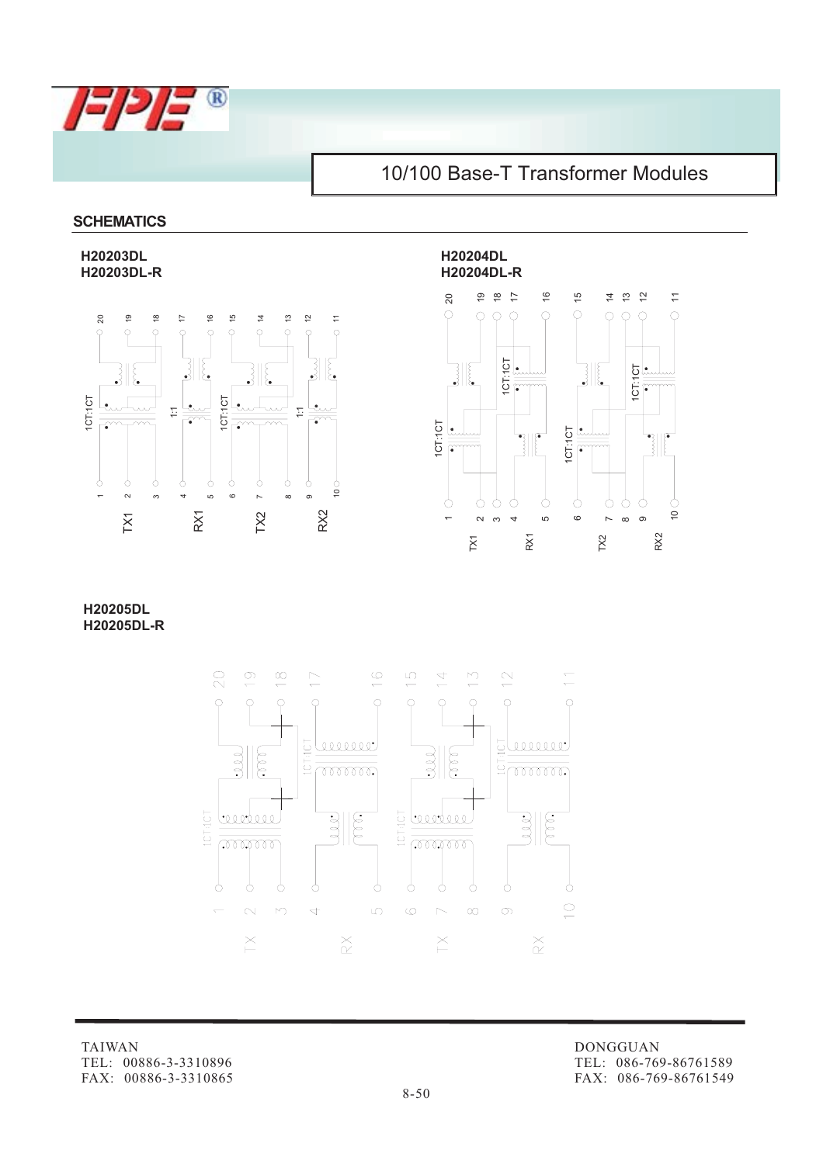

### **SCHEMATICS**

**H20203DL H20204DL**





**H20205DL H20205DL-R**



TAIWAN TEL: 00886-3-3310896 FAX: 00886-3-3310865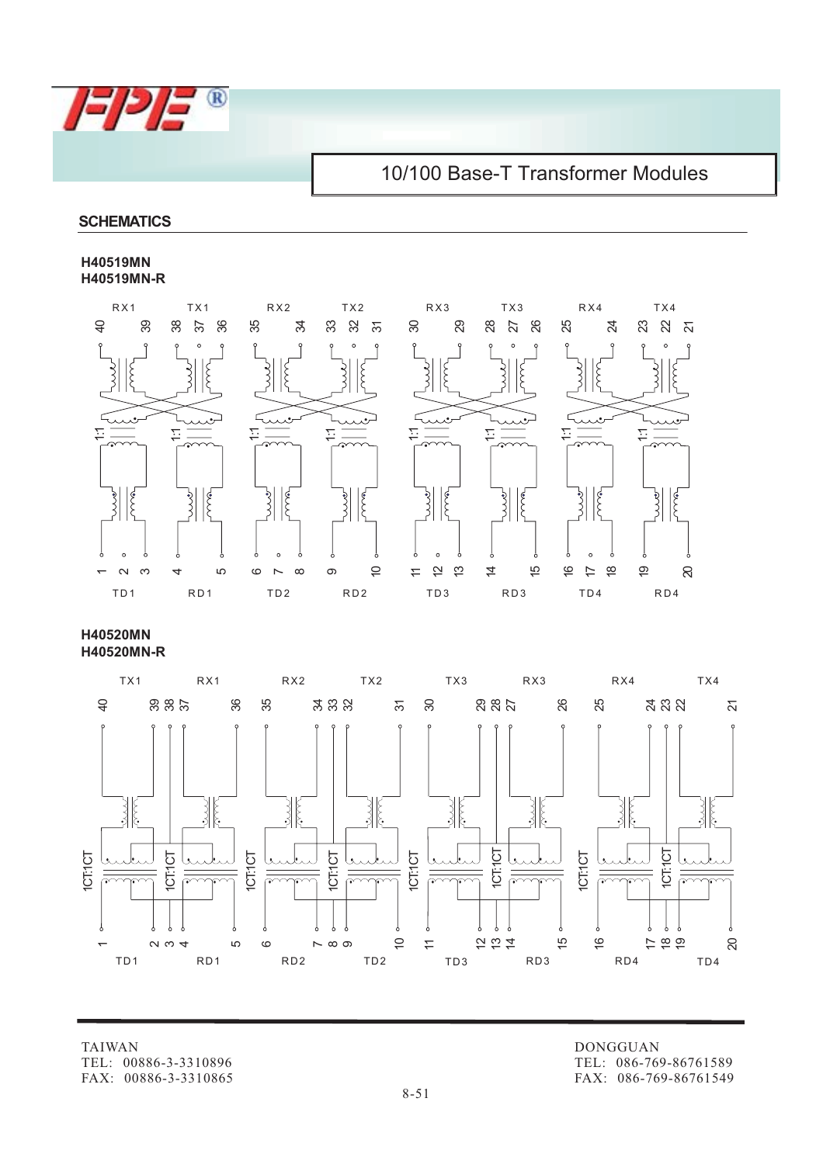

### **SCHEMATICS**

#### **H40519MN H40519MN-R**



**H40520MN H40520MN-R**



TAIWAN TEL: 00886-3-3310896 FAX: 00886-3-3310865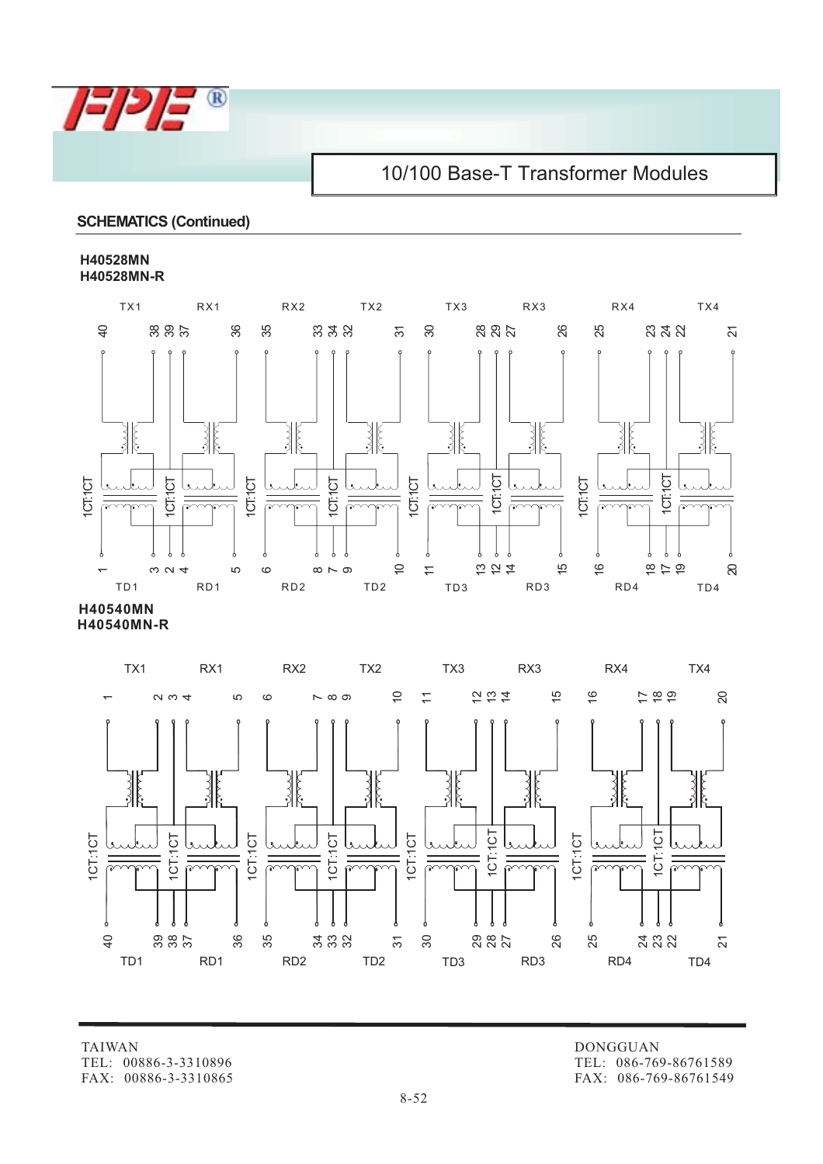

### **SCHEMATICS (Continued)**

#### **H40528MN H40528MN-R**



**H40540MN-R H40540MN**



TAIWAN TEL: 00886-3-3310896 FAX: 00886-3-3310865